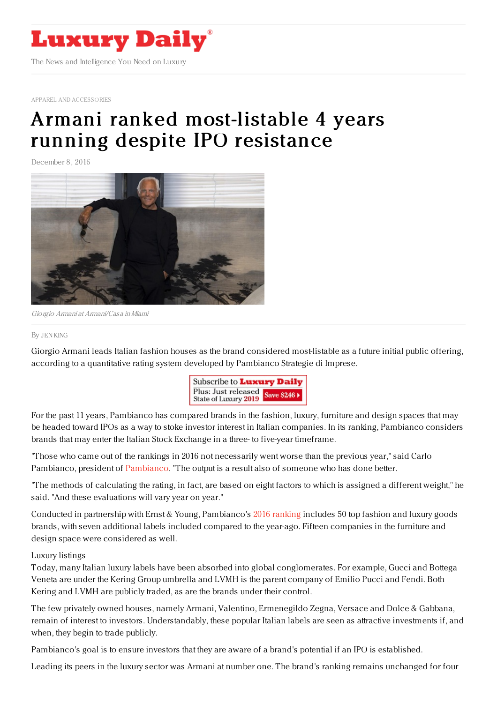

APPAREL AND [ACCESSORIES](https://www.luxurydaily.com/category/sectors/apparel-and-accessories/)

# Armani ranked [most-listable](https://www.luxurydaily.com/armani-ranked-most-listable-four-years-running-despite-resistance-foundation-set-up/) 4 years running despite IPO resistance

December 8, 2016



Giorgio Armani at Armani/Casa inMiami

#### By JEN [KING](file:///author/jen-king)

Giorgio Armani leads Italian fashion houses as the brand considered most-listable as a future initial public offering, according to a quantitative rating system developed by Pambianco Strategie di Imprese.



For the past 11 years, Pambianco has compared brands in the fashion, luxury, furniture and design spaces that may be headed toward IPOs as a way to stoke investor interest in Italian companies. In its ranking, Pambianco considers brands that may enter the Italian Stock Exchange in a three- to five-year timeframe.

"Those who came out of the rankings in 2016 not necessarily went worse than the previous year," said Carlo Pambianco, president of [Pambianco](http://www.pambianconews.com/). "The output is a result also of someone who has done better.

"The methods of calculating the rating, in fact, are based on eight factors to which is assigned a different weight," he said. "And these evaluations will vary year on year."

Conducted in partnership with Ernst & Young, Pambianco's 2016 [ranking](http://www.pambianconews.com/2016/12/06/le-quotabili-2016-dinamismo-verso-la-borsa-205469/) includes 50 top fashion and luxury goods brands, with seven additional labels included compared to the year-ago. Fifteen companies in the furniture and design space were considered as well.

### Luxury listings

Today, many Italian luxury labels have been absorbed into global conglomerates. For example, Gucci and Bottega Veneta are under the Kering Group umbrella and LVMH is the parent company of Emilio Pucci and Fendi. Both Kering and LVMH are publicly traded, as are the brands under their control.

The few privately owned houses, namely Armani, Valentino, Ermenegildo Zegna, Versace and Dolce & Gabbana, remain of interest to investors. Understandably, these popular Italian labels are seen as attractive investments if, and when, they begin to trade publicly.

Pambianco's goal is to ensure investors that they are aware of a brand's potential if an IPO is established.

Leading its peers in the luxury sector was Armani at number one. The brand's ranking remains unchanged for four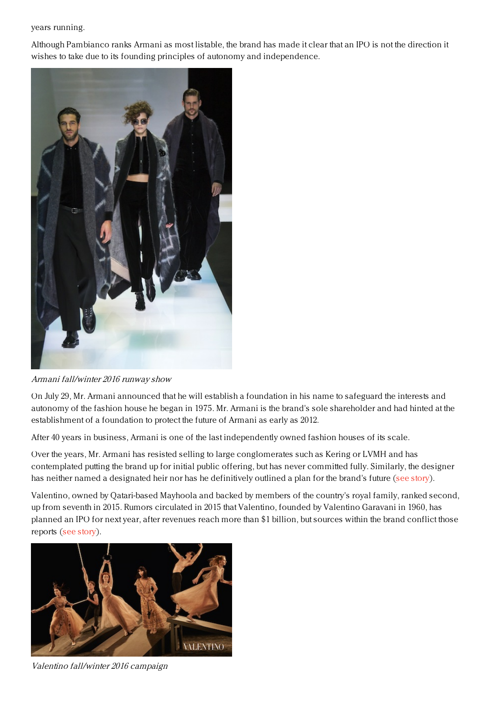### years running.

Although Pambianco ranks Armani as most listable, the brand has made it clear that an IPO is not the direction it wishes to take due to its founding principles of autonomy and independence.



Armani fall/winter 2016 runway show

On July 29, Mr. Armani announced that he will establish a foundation in his name to safeguard the interests and autonomy of the fashion house he began in 1975. Mr. Armani is the brand's sole shareholder and had hinted at the establishment of a foundation to protect the future of Armani as early as 2012.

After 40 years in business, Armani is one of the last independently owned fashion houses of its scale.

Over the years, Mr. Armani has resisted selling to large conglomerates such as Kering or LVMH and has contemplated putting the brand up for initial public offering, but has never committed fully. Similarly, the designer has neither named a designated heir nor has he definitively outlined a plan for the brand's future (see [story](https://www.luxurydaily.com/armani-secures-brands-future-autonomy-independence-with-foundation-set-up/)).

Valentino, owned by Qatari-based Mayhoola and backed by members of the country's royal family, ranked second, up from seventh in 2015. Rumors circulated in 2015 that Valentino, founded by Valentino Garavani in 1960, has planned an IPO for next year, after revenues reach more than \$1 billion, but sources within the brand conflict those reports (see [story](https://www.luxurydaily.com/valentino-beauty-brands-trump-and-counterfeits-news-briefs/)).



Valentino fall/winter 2016 campaign